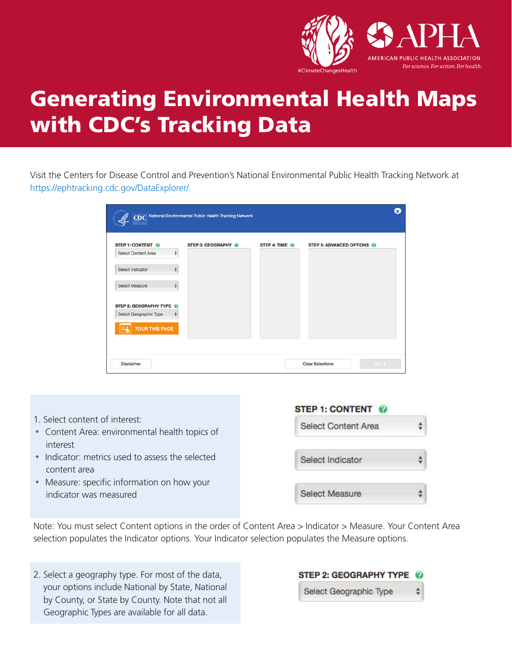

# Generating Environmental Health Maps with CDC's Tracking Data

Visit the Centers for Disease Control and Prevention's National Environmental Public Health Tracking Network at [https://ephtracking.cdc.gov/DataExplorer/](https://ephtracking.cdc.gov/DataExplorer).

|                                                                                                                                                  |                       | CDC National Environmental Public Health Tracking Network |                |                                   | Ø |
|--------------------------------------------------------------------------------------------------------------------------------------------------|-----------------------|-----------------------------------------------------------|----------------|-----------------------------------|---|
| STEP 1: CONTENT @<br><b>Select Content Area</b><br>Select Indicator<br><b>Select Measure</b><br>STEP 2: GEOGRAPHY TYPE<br>Select Geographic Type | ÷<br>$\div$<br>÷<br>٠ | STEP 3: GEOGRAPHY @                                       | STEP 4: TIME @ | STEP 5: ADVANCED OPTIONS          |   |
| <b>TOUR THIS PAGE</b><br><b>Disclaimer</b>                                                                                                       |                       |                                                           |                | $GO +$<br><b>Clear Selections</b> |   |



Note: You must select Content options in the order of Content Area > Indicator > Measure. Your Content Area selection populates the Indicator options. Your Indicator selection populates the Measure options.

2. Select a geography type. For most of the data, your options include National by State, National by County, or State by County. Note that not all Geographic Types are available for all data.

# **STEP 2: GEOGRAPHY TYPE** ÷

Select Geographic Type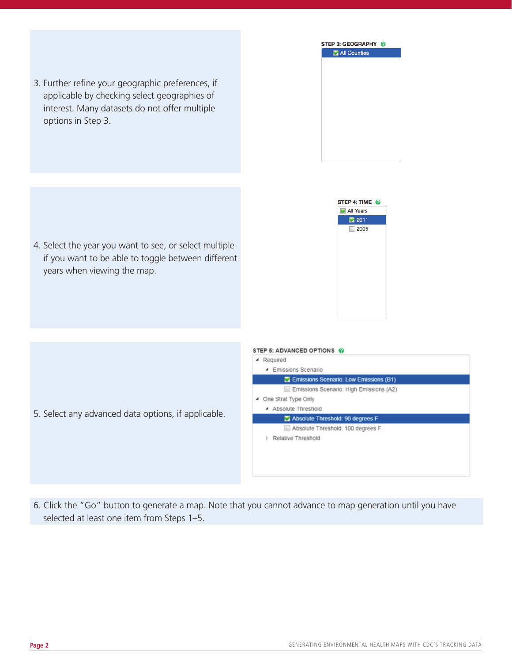

STEP 4: TIME @ All Years ₹ 2011  $\Box$  2005

4. Select the year you want to see, or select multiple if you want to be able to toggle between different years when viewing the map.

3. Further refine your geographic preferences, if applicable by checking select geographies of interest. Many datasets do not offer multiple

options in Step 3.

- 5. Select any advanced data options, if applicable.
- STEP 5: ADVANCED OPTIONS @ A Required ▲ Emissions Scenario Emissions Scenario: Low Emissions (B1) Emissions Scenario: High Emissions (A2) ▲ One Strat Type Only 4 Absolute Threshold Absolute Threshold: 90 degrees F Absolute Threshold: 100 degrees F Relative Threshold
- 6. Click the "Go" button to generate a map. Note that you cannot advance to map generation until you have selected at least one item from Steps 1–5.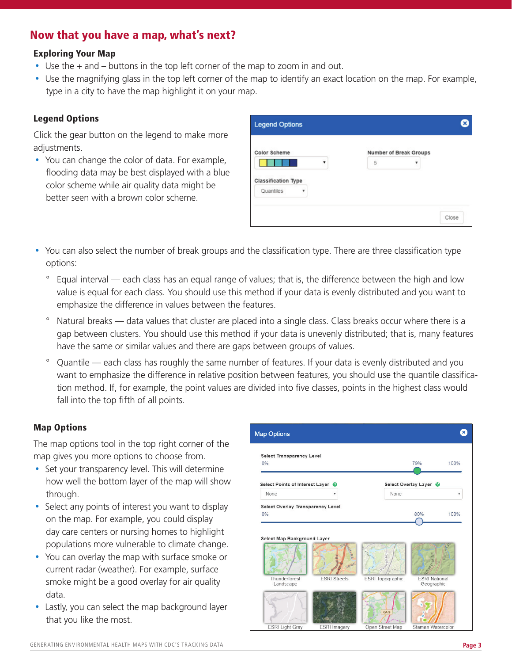# Now that you have a map, what's next?

# Exploring Your Map

- Use the + and buttons in the top left corner of the map to zoom in and out.
- Use the magnifying glass in the top left corner of the map to identify an exact location on the map. For example, type in a city to have the map highlight it on your map.

#### Legend Options

Click the gear button on the legend to make more adjustments.

• You can change the color of data. For example, flooding data may be best displayed with a blue color scheme while air quality data might be better seen with a brown color scheme.

| Color Scheme               |   |   | Number of Break Groups |  |  |
|----------------------------|---|---|------------------------|--|--|
|                            |   | 5 |                        |  |  |
|                            |   |   |                        |  |  |
| <b>Classification Type</b> |   |   |                        |  |  |
| Quantiles                  | v |   |                        |  |  |

- You can also select the number of break groups and the classification type. There are three classification type options:
	- Equal interval each class has an equal range of values; that is, the difference between the high and low value is equal for each class. You should use this method if your data is evenly distributed and you want to emphasize the difference in values between the features.
	- ° Natural breaks data values that cluster are placed into a single class. Class breaks occur where there is a gap between clusters. You should use this method if your data is unevenly distributed; that is, many features have the same or similar values and there are gaps between groups of values.
	- ° Quantile each class has roughly the same number of features. If your data is evenly distributed and you want to emphasize the difference in relative position between features, you should use the quantile classifcation method. If, for example, the point values are divided into five classes, points in the highest class would fall into the top fifth of all points.

# Map Options

The map options tool in the top right corner of the map gives you more options to choose from.

- Set your transparency level. This will determine how well the bottom layer of the map will show through.
- Select any points of interest you want to display on the map. For example, you could display day care centers or nursing homes to highlight populations more vulnerable to climate change.
- You can overlay the map with surface smoke or current radar (weather). For example, surface smoke might be a good overlay for air quality data.
- Lastly, you can select the map background layer that you like the most.